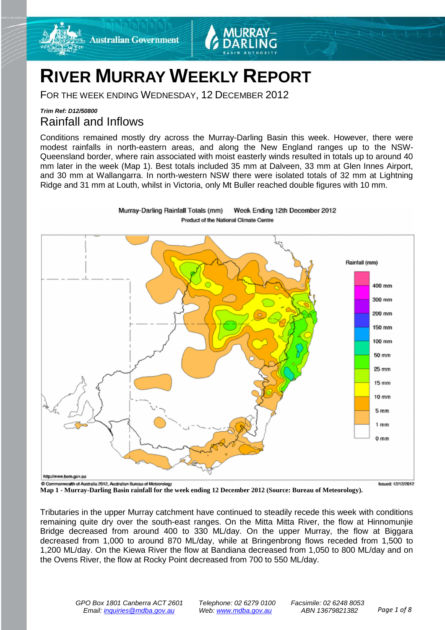

FOR THE WEEK ENDING WEDNESDAY, 12 DECEMBER 2012

**Australian Government** 

### *Trim Ref: D12/50800* Rainfall and Inflows

Conditions remained mostly dry across the Murray-Darling Basin this week. However, there were modest rainfalls in north-eastern areas, and along the New England ranges up to the NSW-Queensland border, where rain associated with moist easterly winds resulted in totals up to around 40 mm later in the week (Map 1). Best totals included 35 mm at Dalveen, 33 mm at Glen Innes Airport, and 30 mm at Wallangarra. In north-western NSW there were isolated totals of 32 mm at Lightning Ridge and 31 mm at Louth, whilst in Victoria, only Mt Buller reached double figures with 10 mm.



Murray-Darling Rainfall Totals (mm) Week Ending 12th December 2012 Product of the National Climate Centre

**Commonweath of Australia 2012, Australian Bureau of Meteorology**<br>Map 1 - Murray-Darling Basin rainfall for the week ending 12 December 2012 (Source: Bureau of Meteorology).

Tributaries in the upper Murray catchment have continued to steadily recede this week with conditions remaining quite dry over the south-east ranges. On the Mitta Mitta River, the flow at Hinnomunjie Bridge decreased from around 400 to 330 ML/day. On the upper Murray, the flow at Biggara decreased from 1,000 to around 870 ML/day, while at Bringenbrong flows receded from 1,500 to 1,200 ML/day. On the Kiewa River the flow at Bandiana decreased from 1,050 to 800 ML/day and on the Ovens River, the flow at Rocky Point decreased from 700 to 550 ML/day.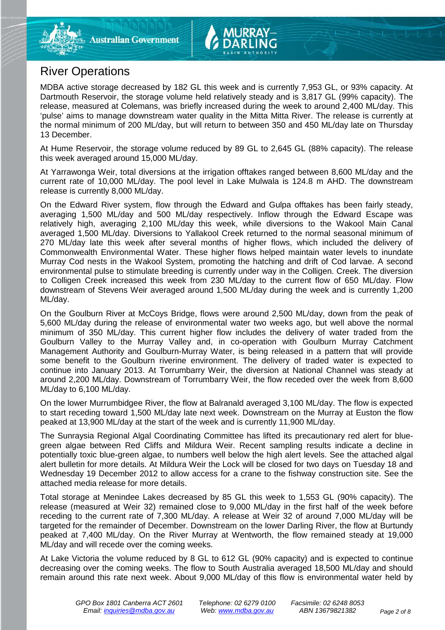# River Operations

MDBA active storage decreased by 182 GL this week and is currently 7,953 GL, or 93% capacity. At Dartmouth Reservoir, the storage volume held relatively steady and is 3,817 GL (99% capacity). The release, measured at Colemans, was briefly increased during the week to around 2,400 ML/day. This 'pulse' aims to manage downstream water quality in the Mitta Mitta River. The release is currently at the normal minimum of 200 ML/day, but will return to between 350 and 450 ML/day late on Thursday 13 December.

At Hume Reservoir, the storage volume reduced by 89 GL to 2,645 GL (88% capacity). The release this week averaged around 15,000 ML/day.

At Yarrawonga Weir, total diversions at the irrigation offtakes ranged between 8,600 ML/day and the current rate of 10,000 ML/day. The pool level in Lake Mulwala is 124.8 m AHD. The downstream release is currently 8,000 ML/day.

On the Edward River system, flow through the Edward and Gulpa offtakes has been fairly steady, averaging 1,500 ML/day and 500 ML/day respectively. Inflow through the Edward Escape was relatively high, averaging 2,100 ML/day this week, while diversions to the Wakool Main Canal averaged 1,500 ML/day. Diversions to Yallakool Creek returned to the normal seasonal minimum of 270 ML/day late this week after several months of higher flows, which included the delivery of Commonwealth Environmental Water. These higher flows helped maintain water levels to inundate Murray Cod nests in the Wakool System, promoting the hatching and drift of Cod larvae. A second environmental pulse to stimulate breeding is currently under way in the Colligen. Creek. The diversion to Colligen Creek increased this week from 230 ML/day to the current flow of 650 ML/day. Flow downstream of Stevens Weir averaged around 1,500 ML/day during the week and is currently 1,200 ML/day.

On the Goulburn River at McCoys Bridge, flows were around 2,500 ML/day, down from the peak of 5,600 ML/day during the release of environmental water two weeks ago, but well above the normal minimum of 350 ML/day. This current higher flow includes the delivery of water traded from the Goulburn Valley to the Murray Valley and, in co-operation with Goulburn Murray Catchment Management Authority and Goulburn-Murray Water, is being released in a pattern that will provide some benefit to the Goulburn riverine environment. The delivery of traded water is expected to continue into January 2013. At Torrumbarry Weir, the diversion at National Channel was steady at around 2,200 ML/day. Downstream of Torrumbarry Weir, the flow receded over the week from 8,600 ML/day to 6,100 ML/day.

On the lower Murrumbidgee River, the flow at Balranald averaged 3,100 ML/day. The flow is expected to start receding toward 1,500 ML/day late next week. Downstream on the Murray at Euston the flow peaked at 13,900 ML/day at the start of the week and is currently 11,900 ML/day.

The Sunraysia Regional Algal Coordinating Committee has lifted its precautionary red alert for bluegreen algae between Red Cliffs and Mildura Weir. Recent sampling results indicate a decline in potentially toxic blue-green algae, to numbers well below the high alert levels. See the attached algal alert bulletin for more details. At Mildura Weir the Lock will be closed for two days on Tuesday 18 and Wednesday 19 December 2012 to allow access for a crane to the fishway construction site. See the attached media release for more details.

Total storage at Menindee Lakes decreased by 85 GL this week to 1,553 GL (90% capacity). The release (measured at Weir 32) remained close to 9,000 ML/day in the first half of the week before receding to the current rate of 7,300 ML/day. A release at Weir 32 of around 7,000 ML/day will be targeted for the remainder of December. Downstream on the lower Darling River, the flow at Burtundy peaked at 7,400 ML/day. On the River Murray at Wentworth, the flow remained steady at 19,000 ML/day and will recede over the coming weeks.

At Lake Victoria the volume reduced by 8 GL to 612 GL (90% capacity) and is expected to continue decreasing over the coming weeks. The flow to South Australia averaged 18,500 ML/day and should remain around this rate next week. About 9,000 ML/day of this flow is environmental water held by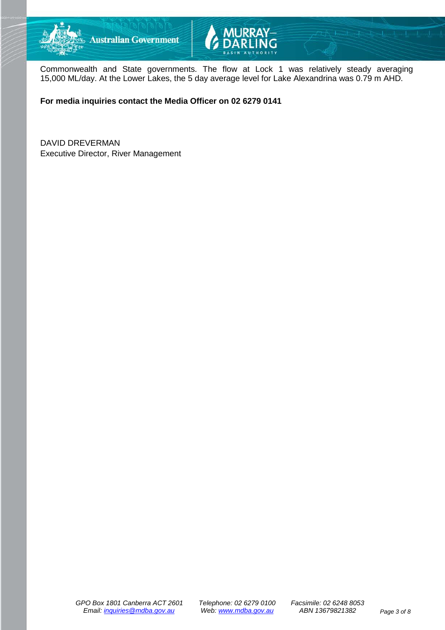



Commonwealth and State governments. The flow at Lock 1 was relatively steady averaging 15,000 ML/day. At the Lower Lakes, the 5 day average level for Lake Alexandrina was 0.79 m AHD.

**For media inquiries contact the Media Officer on 02 6279 0141**

DAVID DREVERMAN Executive Director, River Management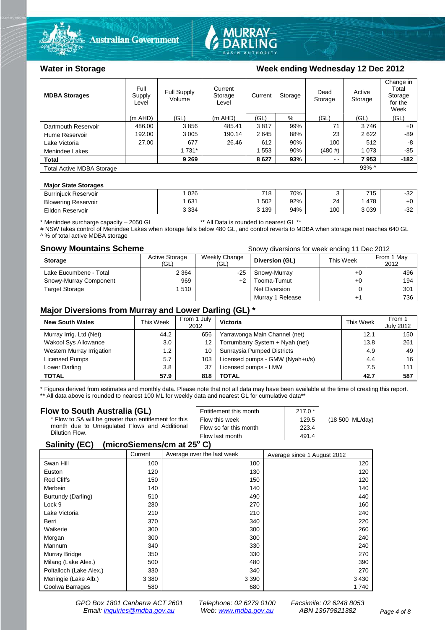



#### Water in Storage Week ending Wednesday 12 Dec 2012

| <b>MDBA Storages</b>                         | Full<br>Supply<br>Level | Full Supply<br>Volume | Current<br>Storage<br>Level | Current | Storage | Dead<br>Storage | Active<br>Storage | Change in<br>Total<br>Storage<br>for the<br>Week |
|----------------------------------------------|-------------------------|-----------------------|-----------------------------|---------|---------|-----------------|-------------------|--------------------------------------------------|
|                                              | $(m$ AHD)               | (GL)                  | $(m$ AHD)                   | (GL)    | %       | (GL)            | (GL)              | (GL)                                             |
| Dartmouth Reservoir                          | 486.00                  | 3856                  | 485.41                      | 3817    | 99%     | 71              | 3746              | $+0$                                             |
| Hume Reservoir                               | 192.00                  | 3 0 0 5               | 190.14                      | 2645    | 88%     | 23              | 2622              | -89                                              |
| Lake Victoria                                | 27.00                   | 677                   | 26.46                       | 612     | 90%     | 100             | 512               | -8                                               |
| Menindee Lakes                               |                         | 1 7 3 1 *             |                             | 553     | 90%     | (480#)          | 1 0 7 3           | $-85$                                            |
| <b>Total</b>                                 |                         | 9 2 6 9               |                             | 8627    | 93%     | $ -$            | 7953              | $-182$                                           |
| $93\%$ ^<br><b>Total Active MDBA Storage</b> |                         |                       |                             |         |         |                 |                   |                                                  |

#### **Major State Storages**

| <b>Burrinjuck Reservoir</b> | 026     | 718   | 70% |     | 715  | $\sim$<br>-3∠ |
|-----------------------------|---------|-------|-----|-----|------|---------------|
| <b>Blowering Reservoir</b>  | 631     | 502   | 92% | 24  | 478  | +∪            |
| Eildon Reservoir            | 3 3 3 4 | 3 139 | 94% | 100 | 3039 | ົດຕ<br>ے ت−   |

\* Menindee surcharge capacity – 2050 GL \*\* All Data is rounded to nearest GL \*\*

# NSW takes control of Menindee Lakes when storage falls below 480 GL, and control reverts to MDBA when storage next reaches 640 GL A % of total active MDBA storage

**Snowy Mountains Scheme Snowy diversions for week ending 11 Dec 2012** 

| <b>Storage</b>         | <b>Active Storage</b><br>(GL) | Weekly Change<br>(GL) | Diversion (GL)       | This Week | From 1 May<br>2012 |
|------------------------|-------------------------------|-----------------------|----------------------|-----------|--------------------|
| Lake Eucumbene - Total | 2 3 6 4                       | $-25$                 | Snowy-Murray         | +0        | 496                |
| Snowy-Murray Component | 969                           | $+2$                  | Tooma-Tumut          | $+0$      | 194                |
| <b>Target Storage</b>  | 1510                          |                       | <b>Net Diversion</b> |           | 301                |
|                        |                               |                       | Murray 1 Release     |           | 736                |

#### **Major Diversions from Murray and Lower Darling (GL) \***

| <b>New South Wales</b>    | This Week | From 1 July<br>2012 | Victoria                        | This Week | From 1<br><b>July 2012</b> |
|---------------------------|-----------|---------------------|---------------------------------|-----------|----------------------------|
| Murray Irrig. Ltd (Net)   | 44.2      | 656                 | Yarrawonga Main Channel (net)   | 12.1      | 150                        |
| Wakool Sys Allowance      | 3.0       | 12 <sup>2</sup>     | Torrumbarry System + Nyah (net) | 13.8      | 261                        |
| Western Murray Irrigation | 1.2       | 10                  | Sunraysia Pumped Districts      | 4.9       | 49                         |
| Licensed Pumps            | 5.7       | 103                 | Licensed pumps - GMW (Nyah+u/s) | 4.4       | 16                         |
| Lower Darling             | 3.8       | 37                  | Licensed pumps - LMW            | 7.5       | 111                        |
| <b>TOTAL</b>              | 57.9      | 818                 | TOTAL                           | 42.7      | 587                        |

\* Figures derived from estimates and monthly data. Please note that not all data may have been available at the time of creating this report.

\*\* All data above is rounded to nearest 100 ML for weekly data and nearest GL for cumulative data\*\*

| Flow to South Australia (GL)                           | Entitlement this month | $217.0*$ |                 |
|--------------------------------------------------------|------------------------|----------|-----------------|
| * Flow to SA will be greater than entitlement for this | Flow this week         | 129.5    | (18 500 ML/day) |
| month due to Unregulated Flows and Additional          | Flow so far this month | 223.4    |                 |
| Dilution Flow.                                         | Flow last month        | 491.4    |                 |
| (m)<br>$C = 11.14$                                     |                        |          |                 |

#### **Salinity (EC)** (microSiemens/cm at 25°C)

|                         | Current | Average over the last week | Average since 1 August 2012 |
|-------------------------|---------|----------------------------|-----------------------------|
| Swan Hill               | 100     | 100                        | 120                         |
| Euston                  | 120     | 130                        | 120                         |
| <b>Red Cliffs</b>       | 150     | 150                        | 120                         |
| Merbein                 | 140     | 140                        | 140                         |
| Burtundy (Darling)      | 510     | 490                        | 440                         |
| Lock 9                  | 280     | 270                        | 160                         |
| Lake Victoria           | 210     | 210                        | 240                         |
| Berri                   | 370     | 340                        | 220                         |
| Waikerie                | 300     | 300                        | 260                         |
| Morgan                  | 300     | 300                        | 240                         |
| Mannum                  | 340     | 330                        | 240                         |
| Murray Bridge           | 350     | 330                        | 270                         |
| Milang (Lake Alex.)     | 500     | 480                        | 390                         |
| Poltalloch (Lake Alex.) | 330     | 340                        | 270                         |
| Meningie (Lake Alb.)    | 3 3 8 0 | 3 3 9 0                    | 3 4 3 0                     |
| Goolwa Barrages         | 580     | 680                        | 1740                        |

*GPO Box 1801 Canberra ACT 2601 Telephone: 02 6279 0100 Facsimile: 02 6248 8053 Email: [inquiries@mdba.gov.au](mailto:inquiries@mdba.gov.au) Web: [www.mdba.gov.au](http://www.mdba.gov.au/) ABN 13679821382 Page 4 of 8*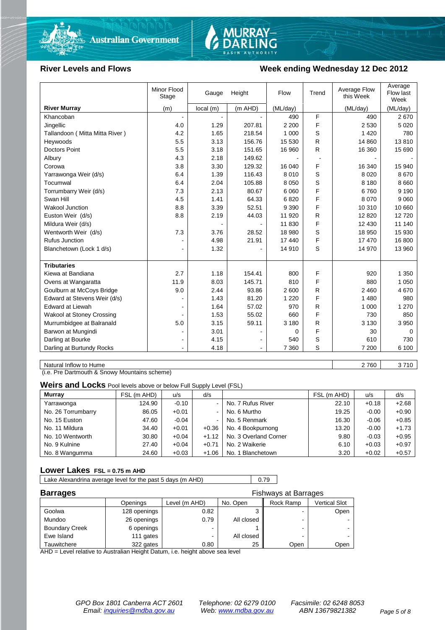



#### **River Levels and Flows Week ending Wednesday 12 Dec 2012**

|                                | Minor Flood<br>Stage | Gauge    | Height  | Flow     | Trend | Average Flow<br>this Week | Average<br>Flow last<br>Week |
|--------------------------------|----------------------|----------|---------|----------|-------|---------------------------|------------------------------|
| <b>River Murray</b>            | (m)                  | local(m) | (m AHD) | (ML/day) |       | (ML/day)                  | (ML/day)                     |
| Khancoban                      |                      |          |         | 490      | F     | 490                       | 2670                         |
| Jingellic                      | 4.0                  | 1.29     | 207.81  | 2 2 0 0  | F     | 2 5 3 0                   | 5 0 2 0                      |
| Tallandoon (Mitta Mitta River) | 4.2                  | 1.65     | 218.54  | 1 0 0 0  | S     | 1 4 2 0                   | 780                          |
| Heywoods                       | 5.5                  | 3.13     | 156.76  | 15 530   | R     | 14 860                    | 13810                        |
| <b>Doctors Point</b>           | 5.5                  | 3.18     | 151.65  | 16 960   | R     | 16 360                    | 15 690                       |
| Albury                         | 4.3                  | 2.18     | 149.62  |          |       |                           |                              |
| Corowa                         | 3.8                  | 3.30     | 129.32  | 16 040   | F     | 16 340                    | 15 940                       |
| Yarrawonga Weir (d/s)          | 6.4                  | 1.39     | 116.43  | 8 0 1 0  | S     | 8 0 2 0                   | 8670                         |
| Tocumwal                       | 6.4                  | 2.04     | 105.88  | 8 0 5 0  | S     | 8 1 8 0                   | 8 6 6 0                      |
| Torrumbarry Weir (d/s)         | 7.3                  | 2.13     | 80.67   | 6 0 6 0  | F     | 6760                      | 9 1 9 0                      |
| Swan Hill                      | 4.5                  | 1.41     | 64.33   | 6820     | F     | 8 0 7 0                   | 9 0 6 0                      |
| <b>Wakool Junction</b>         | 8.8                  | 3.39     | 52.51   | 9 3 9 0  | F     | 10 310                    | 10 660                       |
| Euston Weir (d/s)              | 8.8                  | 2.19     | 44.03   | 11 920   | R     | 12 8 20                   | 12720                        |
| Mildura Weir (d/s)             |                      |          |         | 11 830   | F     | 12 4 30                   | 11 140                       |
| Wentworth Weir (d/s)           | 7.3                  | 3.76     | 28.52   | 18 980   | S     | 18 950                    | 15 930                       |
| <b>Rufus Junction</b>          |                      | 4.98     | 21.91   | 17 440   | F     | 17 470                    | 16 800                       |
| Blanchetown (Lock 1 d/s)       | ۰                    | 1.32     |         | 14 910   | S     | 14 970                    | 13 960                       |
|                                |                      |          |         |          |       |                           |                              |
| <b>Tributaries</b>             |                      |          |         |          |       |                           |                              |
| Kiewa at Bandiana              | 2.7                  | 1.18     | 154.41  | 800      | F     | 920                       | 1 3 5 0                      |
| Ovens at Wangaratta            | 11.9                 | 8.03     | 145.71  | 810      | F     | 880                       | 1 0 5 0                      |
| Goulburn at McCoys Bridge      | 9.0                  | 2.44     | 93.86   | 2 600    | R     | 2 4 6 0                   | 4670                         |
| Edward at Stevens Weir (d/s)   |                      | 1.43     | 81.20   | 1 2 2 0  | F     | 1 4 8 0                   | 980                          |
| <b>Edward at Liewah</b>        |                      | 1.64     | 57.02   | 970      | R     | 1 0 0 0                   | 1 2 7 0                      |
| Wakool at Stoney Crossing      |                      | 1.53     | 55.02   | 660      | F     | 730                       | 850                          |
| Murrumbidgee at Balranald      | 5.0                  | 3.15     | 59.11   | 3 180    | R     | 3 1 3 0                   | 3 9 5 0                      |
| Barwon at Mungindi             | ٠                    | 3.01     |         | 0        | F     | 30                        | $\Omega$                     |
| Darling at Bourke              | $\blacksquare$       | 4.15     |         | 540      | S     | 610                       | 730                          |
| Darling at Burtundy Rocks      |                      | 4.18     |         | 7 3 6 0  | S     | 7 200                     | 6 100                        |

Natural Inflow to Hume 2 760 3 710

(i.e. Pre Dartmouth & Snowy Mountains scheme)

**Weirs and Locks** Pool levels above or below Full Supply Level (FSL)

| Murray             | FSL (m AHD) | u/s     | d/s            |                       | FSL (m AHD) | u/s     | d/s     |
|--------------------|-------------|---------|----------------|-----------------------|-------------|---------|---------|
| Yarrawonga         | 124.90      | $-0.10$ |                | No. 7 Rufus River     | 22.10       | $+0.18$ | $+2.68$ |
| No. 26 Torrumbarry | 86.05       | $+0.01$ | $\sim$         | No. 6 Murtho          | 19.25       | $-0.00$ | $+0.90$ |
| No. 15 Euston      | 47.60       | $-0.04$ | $\blacksquare$ | No. 5 Renmark         | 16.30       | $-0.06$ | $+0.85$ |
| No. 11 Mildura     | 34.40       | $+0.01$ | $+0.36$        | No. 4 Bookpurnong     | 13.20       | $-0.00$ | $+1.73$ |
| No. 10 Wentworth   | 30.80       | $+0.04$ | $+1.12$        | No. 3 Overland Corner | 9.80        | $-0.03$ | $+0.95$ |
| No. 9 Kulnine      | 27.40       | $+0.04$ | $+0.71$        | No. 2 Waikerie        | 6.10        | $+0.03$ | $+0.97$ |
| No. 8 Wangumma     | 24.60       | $+0.03$ | $+1.06$        | No. 1 Blanchetown     | 3.20        | $+0.02$ | $+0.57$ |

#### **Lower Lakes FSL = 0.75 m AHD**

Lake Alexandrina average level for the past 5 days (m AHD) 0.79

| <b>Barrages</b>       | <b>Fishways at Barrages</b> |               |            |                          |                      |
|-----------------------|-----------------------------|---------------|------------|--------------------------|----------------------|
|                       | Openings                    | Level (m AHD) | No. Open   | Rock Ramp                | <b>Vertical Slot</b> |
| Goolwa                | 128 openings                | 0.82          |            | -                        | Open                 |
| Mundoo                | 26 openings                 | 0.79          | All closed | $\overline{\phantom{0}}$ |                      |
| <b>Boundary Creek</b> | 6 openings                  |               |            | $\overline{\phantom{0}}$ |                      |
| Ewe Island            | 111 gates                   |               | All closed | -                        |                      |
| Tauwitchere           | 322 gates                   | 0.80          | 25         | Open                     | Open                 |

AHD = Level relative to Australian Height Datum, i.e. height above sea level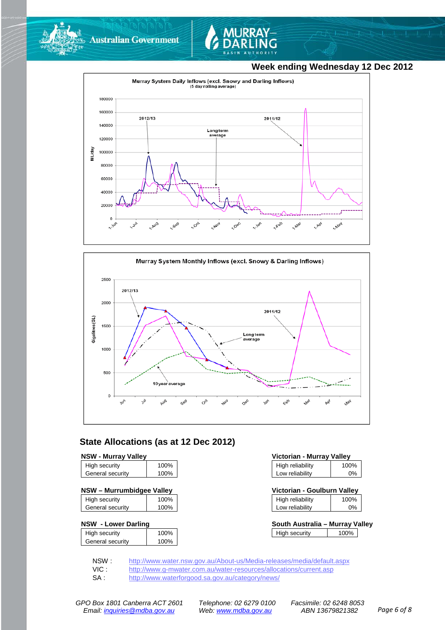



### **Week ending Wednesday 12 Dec 2012**





### **State Allocations (as at 12 Dec 2012)**

| High security    | 100% |
|------------------|------|
| General security | 100% |
|                  |      |

| NSW - Murrumbidgee Valley | Victorian - Goulburn Valley |  |
|---------------------------|-----------------------------|--|
|                           |                             |  |

| High security    | 100% |
|------------------|------|
| General security | 100% |

#### **NSW - Lower Darling**

| High security    | 100% |
|------------------|------|
| General security | 100% |
|                  |      |

| <b>NSW - Murray Valley</b><br>Victorian - Murray Valley |      |                  |      |
|---------------------------------------------------------|------|------------------|------|
| High security                                           | 100% | High reliability | 100% |
| General security                                        | 100% | Low reliability  | 0%   |

| Victorian - Goulburn Valley |      |
|-----------------------------|------|
| High reliability            | 100% |

| Low reliability | 0% |  |
|-----------------|----|--|
|                 |    |  |

| South Australia – Murray Valley |      |  |
|---------------------------------|------|--|
| High security                   | 100% |  |

NSW : <http://www.water.nsw.gov.au/About-us/Media-releases/media/default.aspx><br>VIC : http://www.g-mwater.com.au/water-resources/allocations/current.asp

VIC : <http://www.g-mwater.com.au/water-resources/allocations/current.asp><br>SA : http://www.waterforgood.sa.gov.au/category/news/

<http://www.waterforgood.sa.gov.au/category/news/>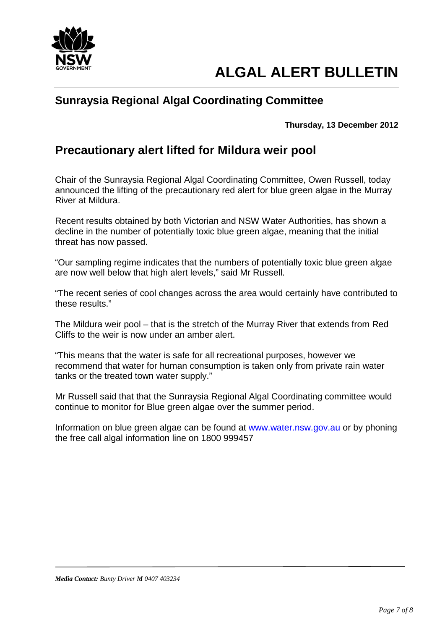

# **Sunraysia Regional Algal Coordinating Committee**

**Thursday, 13 December 2012**

# **Precautionary alert lifted for Mildura weir pool**

Chair of the Sunraysia Regional Algal Coordinating Committee, Owen Russell, today announced the lifting of the precautionary red alert for blue green algae in the Murray River at Mildura.

Recent results obtained by both Victorian and NSW Water Authorities, has shown a decline in the number of potentially toxic blue green algae, meaning that the initial threat has now passed.

"Our sampling regime indicates that the numbers of potentially toxic blue green algae are now well below that high alert levels," said Mr Russell.

"The recent series of cool changes across the area would certainly have contributed to these results."

The Mildura weir pool – that is the stretch of the Murray River that extends from Red Cliffs to the weir is now under an amber alert.

"This means that the water is safe for all recreational purposes, however we recommend that water for human consumption is taken only from private rain water tanks or the treated town water supply."

Mr Russell said that that the Sunraysia Regional Algal Coordinating committee would continue to monitor for Blue green algae over the summer period.

Information on blue green algae can be found at [www.water.nsw.gov.au](http://www.water.nsw.gov.au/) or by phoning the free call algal information line on 1800 999457